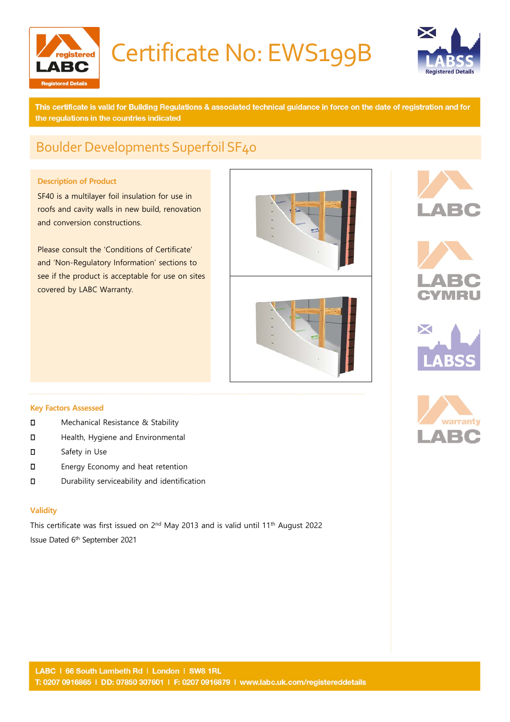

# Certificate No: EWS199B



This certificate is valid for Building Regulations & associated technical guidance in force on the date of registration and for the regulations in the countries indicated

### Boulder Developments Superfoil SF40

### **Description of Product**

SF40 is a multilayer foil insulation for use in roofs and cavity walls in new build, renovation and conversion constructions.

Please consult the 'Conditions of Certificate' and 'Non-Regulatory Information' sections to see if the product is acceptable for use on sites covered by LABC Warranty.











#### **Key Factors Assessed**

- **D** Mechanical Resistance & Stability
- **D** Health, Hygiene and Environmental
- Safety in Use
- **D** Energy Economy and heat retention
- Durability serviceability and identification

#### **Validity**

This certificate was first issued on 2nd May 2013 and is valid until 11th August 2022 Issue Dated 6th September 2021

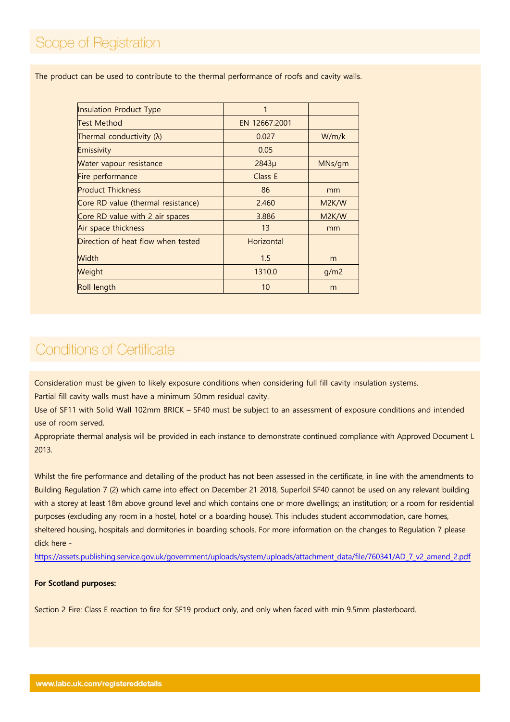The product can be used to contribute to the thermal performance of roofs and cavity walls.

| <b>Insulation Product Type</b>     |               |                    |
|------------------------------------|---------------|--------------------|
| <b>Test Method</b>                 | EN 12667:2001 |                    |
| Thermal conductivity $(\lambda)$   | 0.027         | W/m/k              |
| Emissivity                         | 0.05          |                    |
| Water vapour resistance            | $2843\mu$     | MNs/gm             |
| Fire performance                   | Class E       |                    |
| <b>Product Thickness</b>           | 86            | mm                 |
| Core RD value (thermal resistance) | 2.460         | M <sub>2K</sub> /W |
| Core RD value with 2 air spaces    | 3.886         | M <sub>2K</sub> /W |
| Air space thickness                | 13            | mm                 |
| Direction of heat flow when tested | Horizontal    |                    |
| Width                              | 1.5           | m                  |
| Weight                             | 1310.0        | q/m2               |
| Roll length                        | 10            | m                  |

## **Conditions of Certificate**

Consideration must be given to likely exposure conditions when considering full fill cavity insulation systems.

Partial fill cavity walls must have a minimum 50mm residual cavity.

Use of SF11 with Solid Wall 102mm BRICK – SF40 must be subject to an assessment of exposure conditions and intended use of room served.

Appropriate thermal analysis will be provided in each instance to demonstrate continued compliance with Approved Document L 2013.

Whilst the fire performance and detailing of the product has not been assessed in the certificate, in line with the amendments to Building Regulation 7 (2) which came into effect on December 21 2018, Superfoil SF40 cannot be used on any relevant building with a storey at least 18m above ground level and which contains one or more dwellings; an institution; or a room for residential purposes (excluding any room in a hostel, hotel or a boarding house). This includes student accommodation, care homes, sheltered housing, hospitals and dormitories in boarding schools. For more information on the changes to Regulation 7 please click here -

[https://assets.publishing.service.gov.uk/government/uploads/system/uploads/attachment\\_data/file/760341/AD\\_7\\_v2\\_amend\\_2.pdf](https://assets.publishing.service.gov.uk/government/uploads/system/uploads/attachment_data/file/760341/AD_7_v2_amend_2.pdf)

#### **For Scotland purposes:**

Section 2 Fire: Class E reaction to fire for SF19 product only, and only when faced with min 9.5mm plasterboard.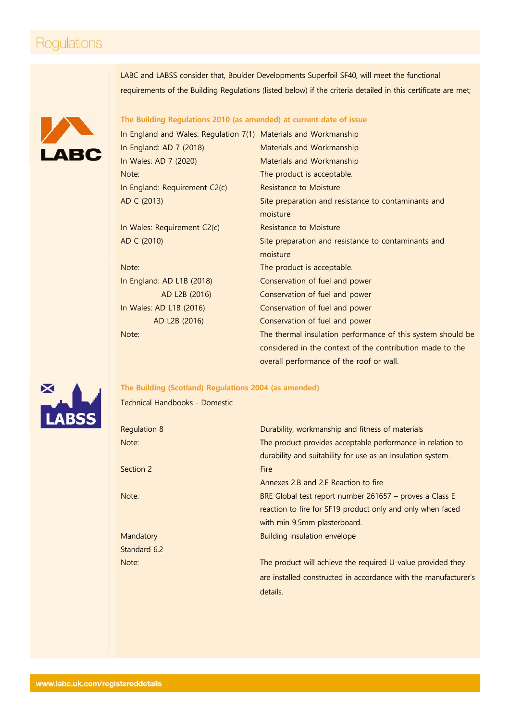### Regulations

LABC and LABSS consider that, Boulder Developments Superfoil SF40, will meet the functional requirements of the Building Regulations (listed below) if the criteria detailed in this certificate are met;



### **The Building Regulations 2010 (as amended) at current date of issue**

| In England and Wales: Regulation 7(1) Materials and Workmanship |                                                             |
|-----------------------------------------------------------------|-------------------------------------------------------------|
| In England: AD 7 (2018)                                         | Materials and Workmanship                                   |
| In Wales: AD 7 (2020)                                           | Materials and Workmanship                                   |
| Note:                                                           | The product is acceptable.                                  |
| In England: Requirement C2(c)                                   | <b>Resistance to Moisture</b>                               |
| AD C (2013)                                                     | Site preparation and resistance to contaminants and         |
|                                                                 | moisture                                                    |
| In Wales: Requirement C2(c)                                     | <b>Resistance to Moisture</b>                               |
| AD C (2010)                                                     | Site preparation and resistance to contaminants and         |
|                                                                 | moisture                                                    |
| Note:                                                           | The product is acceptable.                                  |
| In England: AD L1B (2018)                                       | Conservation of fuel and power                              |
| AD L2B (2016)                                                   | Conservation of fuel and power                              |
| In Wales: AD L1B (2016)                                         | Conservation of fuel and power                              |
| AD L2B (2016)                                                   | Conservation of fuel and power                              |
| Note:                                                           | The thermal insulation performance of this system should be |
|                                                                 | considered in the context of the contribution made to the   |
|                                                                 | overall performance of the roof or wall.                    |



**The Building (Scotland) Regulations 2004 (as amended)**

Technical Handbooks - Domestic

| Regulation 8 | Durability, workmanship and fitness of materials                |
|--------------|-----------------------------------------------------------------|
| Note:        | The product provides acceptable performance in relation to      |
|              | durability and suitability for use as an insulation system.     |
| Section 2    | <b>Fire</b>                                                     |
|              | Annexes 2.B and 2.E Reaction to fire                            |
| Note:        | BRE Global test report number 261657 – proves a Class E         |
|              | reaction to fire for SF19 product only and only when faced      |
|              | with min 9.5mm plasterboard.                                    |
| Mandatory    | Building insulation envelope                                    |
| Standard 6.2 |                                                                 |
| Note:        | The product will achieve the required U-value provided they     |
|              | are installed constructed in accordance with the manufacturer's |
|              | details.                                                        |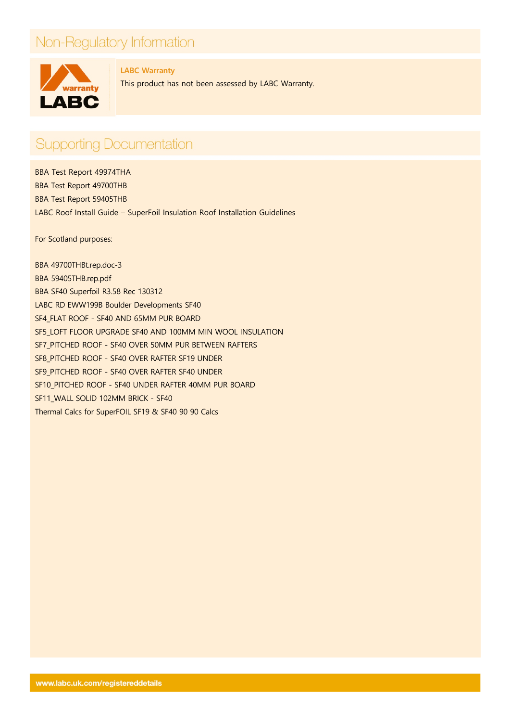## Non-Regulatory Information



**LABC Warranty**  This product has not been assessed by LABC Warranty.

## **Supporting Documentation**

BBA Test Report 49974THA BBA Test Report 49700THB BBA Test Report 59405THB LABC Roof Install Guide – SuperFoil Insulation Roof Installation Guidelines

For Scotland purposes:

BBA 49700THBt.rep.doc-3 BBA 59405THB.rep.pdf BBA SF40 Superfoil R3.58 Rec 130312 LABC RD EWW199B Boulder Developments SF40 SF4\_FLAT ROOF - SF40 AND 65MM PUR BOARD SF5\_LOFT FLOOR UPGRADE SF40 AND 100MM MIN WOOL INSULATION SF7\_PITCHED ROOF - SF40 OVER 50MM PUR BETWEEN RAFTERS SF8\_PITCHED ROOF - SF40 OVER RAFTER SF19 UNDER SF9\_PITCHED ROOF - SF40 OVER RAFTER SF40 UNDER SF10\_PITCHED ROOF - SF40 UNDER RAFTER 40MM PUR BOARD SF11\_WALL SOLID 102MM BRICK - SF40 Thermal Calcs for SuperFOIL SF19 & SF40 90 90 Calcs